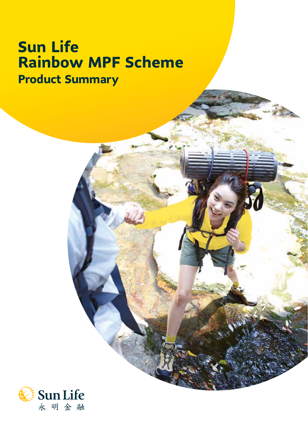# **Sun Life Rainbow MPF Scheme Product Summary**

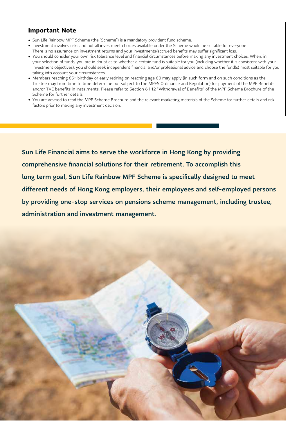#### **Important Note**

- Sun Life Rainbow MPF Scheme (the "Scheme") is a mandatory provident fund scheme.
- Investment involves risks and not all investment choices available under the Scheme would be suitable for everyone. There is no assurance on investment returns and your investments/accrued benefits may suffer significant loss.
- You should consider your own risk tolerance level and financial circumstances before making any investment choices. When, in your selection of funds, you are in doubt as to whether a certain fund is suitable for you (including whether it is consistent with your investment objectives), you should seek independent financial and/or professional advice and choose the fund(s) most suitable for you taking into account your circumstances.
- Members reaching 65th birthday or early retiring on reaching age 60 may apply (in such form and on such conditions as the Trustee may from time to time determine but subject to the MPFS Ordinance and Regulation) for payment of the MPF Benefits and/or TVC benefits in instalments. Please refer to Section 6.1.12 "Withdrawal of Benefits" of the MPF Scheme Brochure of the Scheme for further details.
- You are advised to read the MPF Scheme Brochure and the relevant marketing materials of the Scheme for further details and risk factors prior to making any investment decision.

Sun Life Financial aims to serve the workforce in Hong Kong by providing comprehensive financial solutions for their retirement. To accomplish this long term goal, Sun Life Rainbow MPF Scheme is specifically designed to meet different needs of Hong Kong employers, their employees and self-employed persons by providing one-stop services on pensions scheme management, including trustee, administration and investment management.

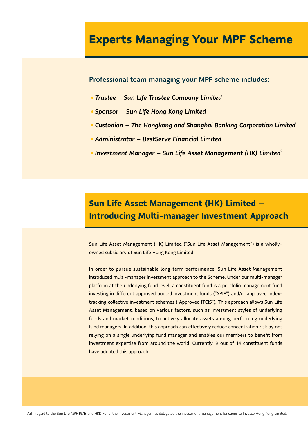# **Experts Managing Your MPF Scheme**

Professional team managing your MPF scheme includes:

- *• Trustee Sun Life Trustee Company Limited*
- *• Sponsor Sun Life Hong Kong Limited*
- *• Custodian The Hongkong and Shanghai Banking Corporation Limited*
- *• Administrator BestServe Financial Limited*
- *• Investment Manager Sun Life Asset Management (HK) Limited1*

# **Sun Life Asset Management (HK) Limited – Introducing Multi-manager Investment Approach**

Sun Life Asset Management (HK) Limited ("Sun Life Asset Management") is a whollyowned subsidiary of Sun Life Hong Kong Limited.

In order to pursue sustainable long-term performance, Sun Life Asset Management introduced multi-manager investment approach to the Scheme. Under our multi-manager platform at the underlying fund level, a constituent fund is a portfolio management fund investing in different approved pooled investment funds ("APIF") and/or approved indextracking collective investment schemes ("Approved ITCIS"). This approach allows Sun Life Asset Management, based on various factors, such as investment styles of underlying funds and market conditions, to actively allocate assets among performing underlying fund managers. In addition, this approach can effectively reduce concentration risk by not relying on a single underlying fund manager and enables our members to benefit from investment expertise from around the world. Currently, 9 out of 14 constituent funds have adopted this approach.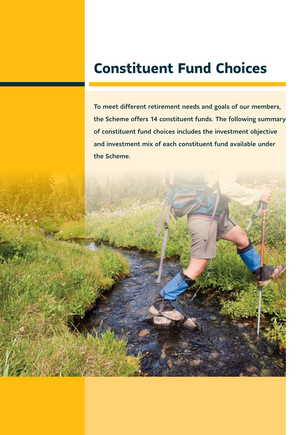# **Constituent Fund Choices**

To meet different retirement needs and goals of our members, the Scheme offers 14 constituent funds. The following summary of constituent fund choices includes the investment objective and investment mix of each constituent fund available under the Scheme.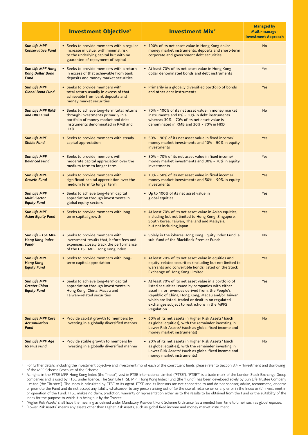|                                                                         | <b>Investment Objective<sup>2</sup></b>                                                                                                                                    | <b>Investment Mix<sup>2</sup></b>                                                                                                                                                                                                                                                                                                         | <b>Managed by</b><br>Multi-manager<br><b>Investment Approach</b> |
|-------------------------------------------------------------------------|----------------------------------------------------------------------------------------------------------------------------------------------------------------------------|-------------------------------------------------------------------------------------------------------------------------------------------------------------------------------------------------------------------------------------------------------------------------------------------------------------------------------------------|------------------------------------------------------------------|
| <b>Sun Life MPF</b><br><b>Conservative Fund</b>                         | • Seeks to provide members with a regular<br>increase in value, with minimal risk<br>to the underlying capital but with no<br>guarantee of repayment of capital            | • 100% of its net asset value in Hong Kong dollar<br>money market instruments, deposits and short-term<br>corporate and government debt securities                                                                                                                                                                                        | <b>No</b>                                                        |
| <b>Sun Life MPF Hong</b><br><b>Kong Dollar Bond</b><br><b>Fund</b>      | • Seeks to provide members with a return<br>in excess of that achievable from bank<br>deposits and money market securities                                                 | • At least 70% of its net asset value in Hong Kong<br>dollar denominated bonds and debt instruments                                                                                                                                                                                                                                       | Yes                                                              |
| <b>Sun Life MPF</b><br><b>Global Bond Fund</b>                          | • Seeks to provide members with<br>total return usually in excess of that<br>achievable from bank deposits and<br>money market securities                                  | • Primarily in a globally diversified portfolio of bonds<br>and other debt instruments                                                                                                                                                                                                                                                    | Yes                                                              |
| <b>Sun Life MPF RMB</b><br>and HKD Fund                                 | • Seeks to achieve long-term total returns<br>through investments primarily in a<br>portfolio of money market and debt<br>instruments denominated in RMB and<br><b>HKD</b> | • 70% - 100% of its net asset value in money market<br>instruments and 0% - 30% in debt instruments<br>whereas 30% - 70% of its net asset value is<br>denominated in RMB and 30% - 70% in HKD                                                                                                                                             | <b>No</b>                                                        |
| <b>Sun Life MPF</b><br><b>Stable Fund</b>                               | • Seeks to provide members with steady<br>capital appreciation                                                                                                             | • 50% - 90% of its net asset value in fixed income/<br>money market investments and 10% - 50% in equity<br>investments                                                                                                                                                                                                                    | Yes                                                              |
| <b>Sun Life MPF</b><br><b>Balanced Fund</b>                             | • Seeks to provide members with<br>moderate capital appreciation over the<br>medium term to longer term                                                                    | • 30% - 70% of its net asset value in fixed income/<br>money market investments and 30% - 70% in equity<br>investments                                                                                                                                                                                                                    | Yes                                                              |
| <b>Sun Life MPF</b><br><b>Growth Fund</b>                               | • Seeks to provide members with<br>significant capital appreciation over the<br>medium term to longer term                                                                 | • 10% - 50% of its net asset value in fixed income/<br>money market investments and 50% - 90% in equity<br>investments                                                                                                                                                                                                                    | Yes                                                              |
| <b>Sun Life MPF</b><br><b>Multi-Sector</b><br><b>Equity Fund</b>        | • Seeks to achieve long-term capital<br>appreciation through investments in<br>global equity sectors                                                                       | • Up to 100% of its net asset value in<br>global equities                                                                                                                                                                                                                                                                                 | Yes                                                              |
| <b>Sun Life MPF</b><br><b>Asian Equity Fund</b>                         | • Seeks to provide members with long-<br>term capital growth                                                                                                               | • At least 70% of its net asset value in Asian equities,<br>including but not limited to Hong Kong, Singapore,<br>South Korea, Taiwan, Thailand and Malaysia,<br>but not including Japan                                                                                                                                                  | Yes                                                              |
| <b>Sun Life FTSE MPF</b><br><b>Hong Kong Index</b><br>Fund <sup>3</sup> | • Seeks to provide members with<br>investment results that, before fees and<br>expenses, closely track the performance<br>of the FTSE MPF Hong Kong Index                  | • Solely in the iShares Hong Kong Equity Index Fund, a<br>sub-fund of the BlackRock Premier Funds                                                                                                                                                                                                                                         | <b>No</b>                                                        |
| <b>Sun Life MPF</b><br><b>Hong Kong</b><br><b>Equity Fund</b>           | • Seeks to provide members with long-<br>term capital appreciation                                                                                                         | • At least 70% of its net asset value in equities and<br>equity-related securities (including but not limited to<br>warrants and convertible bonds) listed on the Stock<br><b>Exchange of Hong Kong Limited</b>                                                                                                                           | Yes                                                              |
| <b>Sun Life MPF</b><br><b>Greater China</b><br><b>Equity Fund</b>       | • Seeks to achieve long-term capital<br>appreciation through investments in<br>Hong Kong, China, Macau and<br>Taiwan-related securities                                    | • At least 70% of its net asset value in a portfolio of<br>listed securities issued by companies with either<br>asset in, or revenues derived from, the People's<br>Republic of China, Hong Kong, Macau and/or Taiwan<br>which are listed, traded or dealt in on regulated<br>exchanges subject to restrictions in the MPFS<br>Regulation | <b>Yes</b>                                                       |
| <b>Sun Life MPF Core</b><br><b>Accumulation</b><br>Fund                 | • Provide capital growth to members by<br>investing in a globally diversified manner                                                                                       | • 60% of its net assets in Higher Risk Assets <sup>4</sup> (such<br>as global equities), with the remainder investing in<br>Lower Risk Assets <sup>5</sup> (such as global fixed income and<br>money market instruments)                                                                                                                  | <b>No</b>                                                        |
| Sun Life MPF Age<br>65 Plus Fund                                        | • Provide stable growth to members by<br>investing in a globally diversified manner                                                                                        | • 20% of its net assets in Higher Risk Assets <sup>4</sup> (such<br>as global equities), with the remainder investing in<br>Lower Risk Assets <sup>5</sup> (such as global fixed income and<br>money market instruments)                                                                                                                  | <b>No</b>                                                        |

For further details, including the investment objective and investment mix of each of the constituent funds, please refer to Section 3.4 – "Investment and Borrowing" of the MPF Scheme Brochure of the Scheme.

All rights in the FTSE MPF Hong Kong Index (the "Index") vest in FTSE International Limited ("FTSE"). "FTSE®" is a trade mark of the London Stock Exchange Group companies and is used by FTSE under licence. The Sun Life FTSE MPF Hong Kong Index Fund (the "Fund") has been developed solely by Sun Life Trustee Company Limited (the "Trustee"). The Index is calculated by FTSE or its agent. FTSE and its licensors are not connected to and do not sponsor, advise, recommend, endorse or promote the Fund and do not accept any liability whatsoever to any person arising out of (a) the use of, reliance on or any error in the Index or (b) investment in or operation of the Fund. FTSE makes no claim, prediction, warranty or representation either as to the results to be obtained from the Fund or the suitability of the Index for the purpose to which it is being put by the Trustee.

<sup>4</sup> "Higher Risk Assets" shall have the meaning as defined under Mandatory Provident Fund Scheme Ordinance (as amended from time to time), such as global equities.<br><sup>5</sup> "Lower Risk Assets" means any assets other than Higher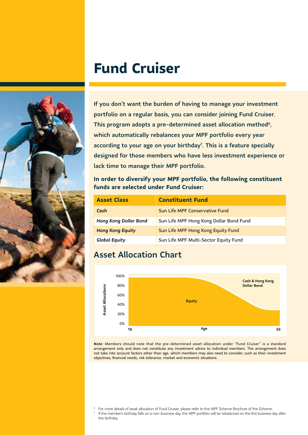# **Fund Cruiser**

If you don't want the burden of having to manage your investment portfolio on a regular basis, you can consider joining Fund Cruiser. This program adopts a pre-determined asset allocation method<sup>6</sup>, which automatically rebalances your MPF portfolio every year according to your age on your birthday<sup>7</sup>. This is a feature specially designed for those members who have less investment experience or lack time to manage their MPF portfolio.

**In order to diversify your MPF portfolio, the following constituent funds are selected under Fund Cruiser:**

| <b>Asset Class</b>      | <b>Constituent Fund</b>                 |
|-------------------------|-----------------------------------------|
| Cash                    | Sun Life MPF Conservative Fund          |
| Hong Kong Dollar Bond   | Sun Life MPF Hong Kong Dollar Bond Fund |
| <b>Hong Kong Equity</b> | Sun Life MPF Hong Kong Equity Fund      |
| <b>Global Equity</b>    | Sun Life MPF Multi-Sector Equity Fund   |

## Asset Allocation Chart



*Note:* Members should note that the pre-determined asset allocation under "Fund Cruiser" is a standard arrangement only and does not constitute any investment advice to individual members. The arrangement does not take into account factors other than age, which members may also need to consider, such as their investment objectives, financial needs, risk tolerance, market and economic situations.

If the member's birthday falls on a non-business day, the MPF portfolio will be rebalanced on the first business day after the birthday.



<sup>6</sup> For more details of asset allocation of Fund Cruiser, please refer to the MPF Scheme Brochure of the Scheme.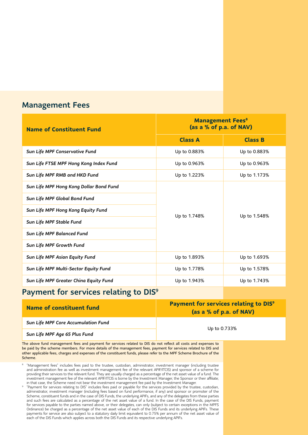### Management Fees

| <b>Name of Constituent Fund</b>         | <b>Management Fees<sup>8</sup></b><br>(as a % of p.a. of NAV) |                |
|-----------------------------------------|---------------------------------------------------------------|----------------|
|                                         | <b>Class A</b>                                                | <b>Class B</b> |
| Sun Life MPF Conservative Fund          | Up to 0.883%                                                  | Up to 0.883%   |
| Sun Life FTSE MPF Hong Kong Index Fund  | Up to 0.963%                                                  | Up to 0.963%   |
| Sun Life MPF RMB and HKD Fund           | Up to 1.223%                                                  | Up to 1.173%   |
| Sun Life MPF Hong Kong Dollar Bond Fund |                                                               |                |
| Sun Life MPF Global Bond Fund           | Up to 1.748%                                                  | Up to 1.548%   |
| Sun Life MPF Hong Kong Equity Fund      |                                                               |                |
| Sun Life MPF Stable Fund                |                                                               |                |
| Sun Life MPF Balanced Fund              |                                                               |                |
| Sun Life MPF Growth Fund                |                                                               |                |
| Sun Life MPF Asian Equity Fund          | Up to 1.893%                                                  | Up to 1.693%   |
| Sun Life MPF Multi-Sector Equity Fund   | Up to 1.778%                                                  | Up to 1.578%   |
| Sun Life MPF Greater China Equity Fund  | Up to 1.943%                                                  | Up to 1.743%   |

### Payment for services relating to DIS<sup>9</sup>

| Name of constituent fund            | <b>Payment for services relating to DIS<sup>9</sup></b><br>(as a % of p.a. of NAV) |  |
|-------------------------------------|------------------------------------------------------------------------------------|--|
| Sun Life MPF Core Accumulation Fund | Up to 0.733%                                                                       |  |
| Sun Life MPF Age 65 Plus Fund       |                                                                                    |  |

The above fund management fees and payment for services related to DIS do not reflect all costs and expenses to be paid by the scheme members. For more details of the management fees, payment for services related to DIS and other applicable fees, charges and expenses of the constituent funds, please refer to the MPF Scheme Brochure of the Scheme.

<sup>8</sup> "Management fees" includes fees paid to the trustee, custodian, administrator, investment manager (including trustee and administration fee as well as investment management fee of the relevant APIF/ITCIS) and sponsor of a scheme for providing their services to the relevant fund. They are usually charged as a percentage of the net asset value of a fund. The investment management fee of the relevant APIF/ITCIS is borne by the Investment Manager, the Sponsor or their affiliate; in that case, the Scheme need not bear the investment management fee paid by the Investment Manager.

<sup>9</sup> "Payment for services relating to DIS" includes fees paid or payable for the services provided by the trustee, custodian, administrator, investment manager (including fees based on fund performance, if any) and sponsor or promoter of the Scheme, constituent funds and in the case of DIS Funds, the underlying APIFs, and any of the delegates from these parties and such fees are calculated as a percentage of the net asset value of a fund. In the case of the DIS Funds, payment for services payable to the parties named above, or their delegates, can only (subject to certain exceptions in the MPFS Ordinance) be charged as a percentage of the net asset value of each of the DIS Funds and its underlying APIFs. These payments for service are also subject to a statutory daily limit equivalent to 0.75% per annum of the net asset value of each of the DIS Funds which applies across both the DIS Funds and its respective underlying APIFs.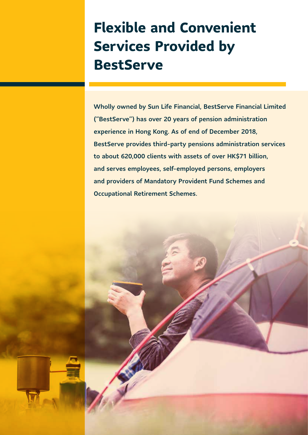# **Flexible and Convenient Services Provided by BestServe**

Wholly owned by Sun Life Financial, BestServe Financial Limited ("BestServe") has over 20 years of pension administration experience in Hong Kong. As of end of December 2018, BestServe provides third-party pensions administration services to about 620,000 clients with assets of over HK\$71 billion, and serves employees, self-employed persons, employers and providers of Mandatory Provident Fund Schemes and Occupational Retirement Schemes.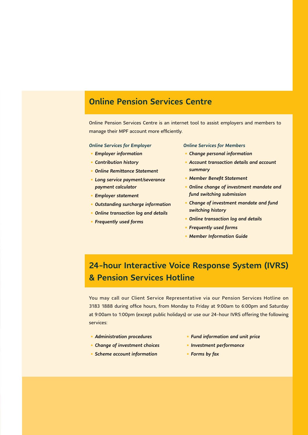### Online Pension Services Centre

Online Pension Services Centre is an internet tool to assist employers and members to manage their MPF account more efficiently.

#### *Online Services for Employer*

- *• Employer information*
- *• Contribution history*
- *• Online Remittance Statement*
- *• Long service payment/severance payment calculator*
- *• Employer statement*
- *• Outstanding surcharge information*
- *• Online transaction log and details*
- *• Frequently used forms*

#### *Online Services for Members*

- *• Change personal information*
- *• Account transaction details and account summary*
- *• Member Benefit Statement*
- *• Online change of investment mandate and fund switching submission*
- *• Change of investment mandate and fund switching history*
- *• Online transaction log and details*
- *• Frequently used forms*
- *• Member Information Guide*

# 24-hour Interactive Voice Response System (IVRS) & Pension Services Hotline

You may call our Client Service Representative via our Pension Services Hotline on 3183 1888 during office hours, from Monday to Friday at 9:00am to 6:00pm and Saturday at 9:00am to 1:00pm (except public holidays) or use our 24-hour IVRS offering the following services:

- *• Administration procedures*
- *• Fund information and unit price*
- *• Investment performance*
- *• Forms by fax*
- *• Change of investment choices • Scheme account information*